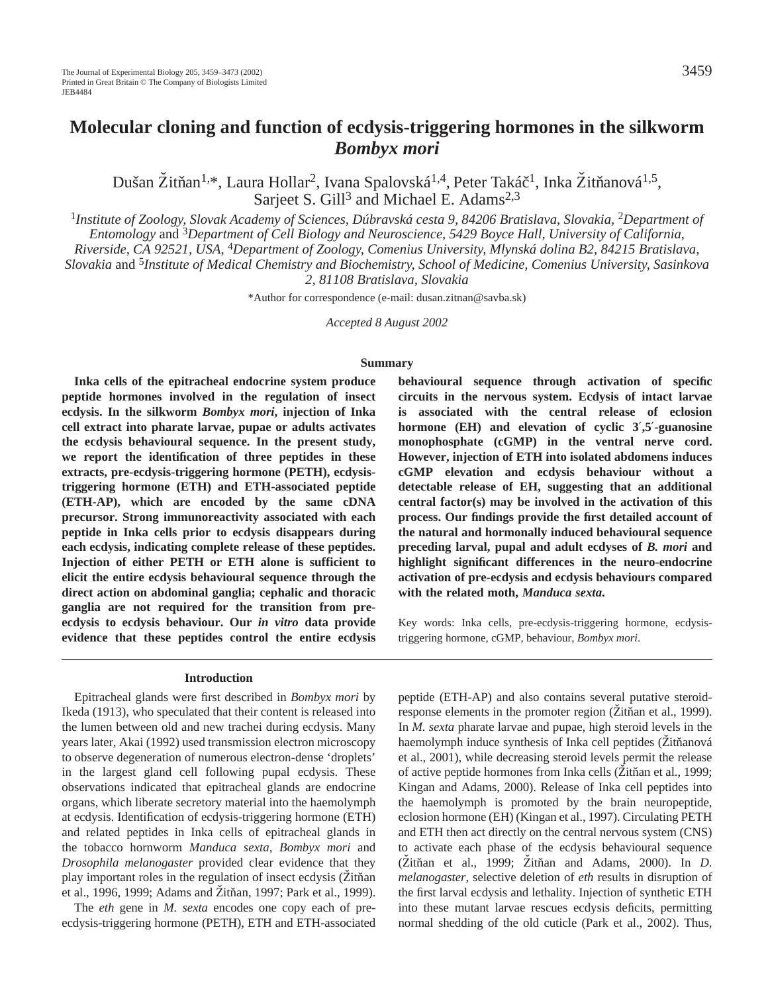# **Molecular cloning and function of ecdysis-triggering hormones in the silkworm** *Bombyx mori*

Dušan Žitňan<sup>1,\*</sup>, Laura Hollar<sup>2</sup>, Ivana Spalovská<sup>1,4</sup>, Peter Takáč<sup>1</sup>, Inka Žitňanová<sup>1,5</sup>, Sarjeet S. Gill<sup>3</sup> and Michael E. Adams<sup>2,3</sup>

<sup>1</sup>Institute of Zoology, Slovak Academy of Sciences, Dúbravská cesta 9, 84206 Bratislava, Slovakia, <sup>2</sup>Department of *Entomology* and <sup>3</sup>*Department of Cell Biology and Neuroscience, 5429 Boyce Hall, University of California,*

*Riverside, CA 92521, USA,* 4*Department of Zoology, Comenius University, Mlynská dolina B2, 84215 Bratislava,*

*Slovakia* and <sup>5</sup>*Institute of Medical Chemistry and Biochemistry, School of Medicine, Comenius University, Sasinkova*

*2, 81108 Bratislava, Slovakia*

\*Author for correspondence (e-mail: dusan.zitnan@savba.sk)

*Accepted 8 August 2002*

#### **Summary**

**Inka cells of the epitracheal endocrine system produce peptide hormones involved in the regulation of insect ecdysis. In the silkworm** *Bombyx mori***, injection of Inka cell extract into pharate larvae, pupae or adults activates the ecdysis behavioural sequence. In the present study, we report the identification of three peptides in these extracts, pre-ecdysis-triggering hormone (PETH), ecdysistriggering hormone (ETH) and ETH-associated peptide (ETH-AP), which are encoded by the same cDNA precursor. Strong immunoreactivity associated with each peptide in Inka cells prior to ecdysis disappears during each ecdysis, indicating complete release of these peptides. Injection of either PETH or ETH alone is sufficient to elicit the entire ecdysis behavioural sequence through the direct action on abdominal ganglia; cephalic and thoracic ganglia are not required for the transition from preecdysis to ecdysis behaviour. Our** *in vitro* **data provide evidence that these peptides control the entire ecdysis**

#### **Introduction**

Epitracheal glands were first described in *Bombyx mori* by Ikeda (1913), who speculated that their content is released into the lumen between old and new trachei during ecdysis. Many years later, Akai (1992) used transmission electron microscopy to observe degeneration of numerous electron-dense 'droplets' in the largest gland cell following pupal ecdysis. These observations indicated that epitracheal glands are endocrine organs, which liberate secretory material into the haemolymph at ecdysis. Identification of ecdysis-triggering hormone (ETH) and related peptides in Inka cells of epitracheal glands in the tobacco hornworm *Manduca sexta*, *Bombyx mori* and *Drosophila melanogaster* provided clear evidence that they play important roles in the regulation of insect ecdysis (Zitňan et al., 1996, 1999; Adams and Zitňan, 1997; Park et al., 1999).

The *eth* gene in *M. sexta* encodes one copy each of preecdysis-triggering hormone (PETH), ETH and ETH-associated

**behavioural sequence through activation of specific circuits in the nervous system. Ecdysis of intact larvae is associated with the central release of eclosion hormone (EH) and elevation of cyclic 3**′**,5**′**-guanosine monophosphate (cGMP) in the ventral nerve cord. However, injection of ETH into isolated abdomens induces cGMP elevation and ecdysis behaviour without a detectable release of EH, suggesting that an additional central factor(s) may be involved in the activation of this process. Our findings provide the first detailed account of the natural and hormonally induced behavioural sequence preceding larval, pupal and adult ecdyses of** *B. mori* **and highlight significant differences in the neuro-endocrine activation of pre-ecdysis and ecdysis behaviours compared with the related moth,** *Manduca sexta***.** 

Key words: Inka cells, pre-ecdysis-triggering hormone, ecdysistriggering hormone, cGMP, behaviour, *Bombyx mori*.

peptide (ETH-AP) and also contains several putative steroidresponse elements in the promoter region ( $\ddot{Z}$ itňan et al., 1999). In *M. sexta* pharate larvae and pupae, high steroid levels in the haemolymph induce synthesis of Inka cell peptides (Žitňanová et al., 2001), while decreasing steroid levels permit the release of active peptide hormones from Inka cells (Zitňan et al., 1999; Kingan and Adams, 2000). Release of Inka cell peptides into the haemolymph is promoted by the brain neuropeptide, eclosion hormone (EH) (Kingan et al., 1997). Circulating PETH and ETH then act directly on the central nervous system (CNS) to activate each phase of the ecdysis behavioural sequence (Zitňan et al., 1999; Zitňan and Adams, 2000). In *D*. *melanogaster*, selective deletion of *eth* results in disruption of the first larval ecdysis and lethality. Injection of synthetic ETH into these mutant larvae rescues ecdysis deficits, permitting normal shedding of the old cuticle (Park et al., 2002). Thus,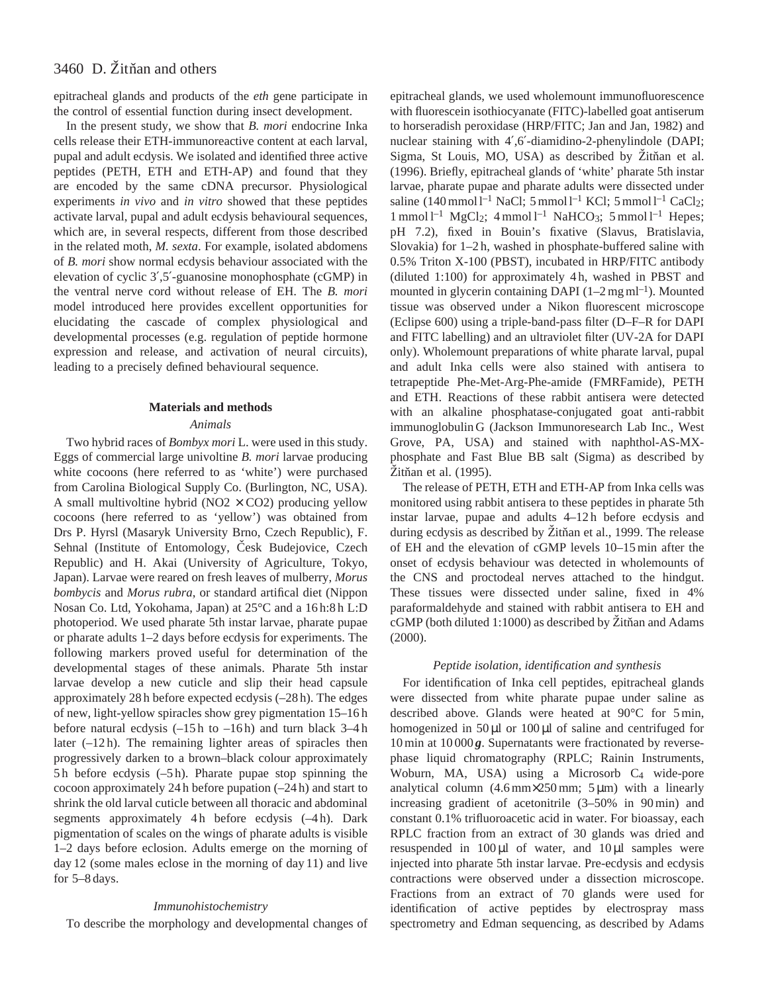epitracheal glands and products of the *eth* gene participate in the control of essential function during insect development.

In the present study, we show that *B. mori* endocrine Inka cells release their ETH-immunoreactive content at each larval, pupal and adult ecdysis. We isolated and identified three active peptides (PETH, ETH and ETH-AP) and found that they are encoded by the same cDNA precursor. Physiological experiments *in vivo* and *in vitro* showed that these peptides activate larval, pupal and adult ecdysis behavioural sequences, which are, in several respects, different from those described in the related moth, *M. sexta*. For example, isolated abdomens of *B. mori* show normal ecdysis behaviour associated with the elevation of cyclic 3′,5′-guanosine monophosphate (cGMP) in the ventral nerve cord without release of EH. The *B. mori* model introduced here provides excellent opportunities for elucidating the cascade of complex physiological and developmental processes (e.g. regulation of peptide hormone expression and release, and activation of neural circuits), leading to a precisely defined behavioural sequence.

#### **Materials and methods**

#### *Animals*

Two hybrid races of *Bombyx mori* L. were used in this study. Eggs of commercial large univoltine *B. mori* larvae producing white cocoons (here referred to as 'white') were purchased from Carolina Biological Supply Co. (Burlington, NC, USA). A small multivoltine hybrid ( $NO2 \times CO2$ ) producing yellow cocoons (here referred to as 'yellow') was obtained from Drs P. Hyrsl (Masaryk University Brno, Czech Republic), F. Sehnal (Institute of Entomology, Česk Budejovice, Czech Republic) and H. Akai (University of Agriculture, Tokyo, Japan). Larvae were reared on fresh leaves of mulberry, *Morus bombycis* and *Morus rubra*, or standard artifical diet (Nippon Nosan Co. Ltd, Yokohama, Japan) at 25°C and a 16 h:8 h L:D photoperiod. We used pharate 5th instar larvae, pharate pupae or pharate adults 1–2 days before ecdysis for experiments. The following markers proved useful for determination of the developmental stages of these animals. Pharate 5th instar larvae develop a new cuticle and slip their head capsule approximately 28 h before expected ecdysis (–28 h). The edges of new, light-yellow spiracles show grey pigmentation 15–16 h before natural ecdysis  $(-15h)$  to  $-16h$ ) and turn black 3–4h later (-12h). The remaining lighter areas of spiracles then progressively darken to a brown–black colour approximately 5 h before ecdysis (–5 h). Pharate pupae stop spinning the cocoon approximately 24 h before pupation (–24 h) and start to shrink the old larval cuticle between all thoracic and abdominal segments approximately 4h before ecdysis (-4h). Dark pigmentation of scales on the wings of pharate adults is visible 1–2 days before eclosion. Adults emerge on the morning of day 12 (some males eclose in the morning of day 11) and live for 5–8 days.

#### *Immunohistochemistry*

To describe the morphology and developmental changes of

epitracheal glands, we used wholemount immunofluorescence with fluorescein isothiocyanate (FITC)-labelled goat antiserum to horseradish peroxidase (HRP/FITC; Jan and Jan, 1982) and nuclear staining with 4′,6′-diamidino-2-phenylindole (DAPI; Sigma, St Louis, MO, USA) as described by Zitňan et al. (1996). Briefly, epitracheal glands of 'white' pharate 5th instar larvae, pharate pupae and pharate adults were dissected under saline (140 mmol  $l^{-1}$  NaCl; 5 mmol  $l^{-1}$  KCl; 5 mmol  $l^{-1}$  CaCl<sub>2</sub>;  $1$  mmol  $l^{-1}$  MgCl<sub>2</sub>;  $4$  mmol  $l^{-1}$  NaHCO<sub>3</sub>;  $5$  mmol  $l^{-1}$  Hepes; pH 7.2), fixed in Bouin's fixative (Slavus, Bratislavia, Slovakia) for 1–2 h, washed in phosphate-buffered saline with 0.5% Triton X-100 (PBST), incubated in HRP/FITC antibody (diluted 1:100) for approximately 4 h, washed in PBST and mounted in glycerin containing DAPI  $(1-2 \text{ mg ml}^{-1})$ . Mounted tissue was observed under a Nikon fluorescent microscope (Eclipse 600) using a triple-band-pass filter (D–F–R for DAPI and FITC labelling) and an ultraviolet filter (UV-2A for DAPI only). Wholemount preparations of white pharate larval, pupal and adult Inka cells were also stained with antisera to tetrapeptide Phe-Met-Arg-Phe-amide (FMRFamide), PETH and ETH. Reactions of these rabbit antisera were detected with an alkaline phosphatase-conjugated goat anti-rabbit immunoglobulin G (Jackson Immunoresearch Lab Inc., West Grove, PA, USA) and stained with naphthol-AS-MXphosphate and Fast Blue BB salt (Sigma) as described by  $Z$ itňan et al.  $(1995)$ .

The release of PETH, ETH and ETH-AP from Inka cells was monitored using rabbit antisera to these peptides in pharate 5th instar larvae, pupae and adults 4–12 h before ecdysis and during ecdysis as described by  $\ddot{Z}$ itňan et al., 1999. The release of EH and the elevation of cGMP levels 10–15 min after the onset of ecdysis behaviour was detected in wholemounts of the CNS and proctodeal nerves attached to the hindgut. These tissues were dissected under saline, fixed in 4% paraformaldehyde and stained with rabbit antisera to EH and  $cGMP$  (both diluted 1:1000) as described by  $\tilde{Z}$ itnan and Adams (2000).

## *Peptide isolation, identification and synthesis*

For identification of Inka cell peptides, epitracheal glands were dissected from white pharate pupae under saline as described above. Glands were heated at 90°C for 5 min, homogenized in  $50 \mu l$  or  $100 \mu l$  of saline and centrifuged for 10 min at 10 000 *g*. Supernatants were fractionated by reversephase liquid chromatography (RPLC; Rainin Instruments, Woburn, MA, USA) using a Microsorb C<sub>4</sub> wide-pore analytical column  $(4.6 \text{ mm} \times 250 \text{ mm}; 5 \text{ }\mu\text{m})$  with a linearly increasing gradient of acetonitrile (3–50% in 90 min) and constant 0.1% trifluoroacetic acid in water. For bioassay, each RPLC fraction from an extract of 30 glands was dried and resuspended in 100 µl of water, and 10 µl samples were injected into pharate 5th instar larvae. Pre-ecdysis and ecdysis contractions were observed under a dissection microscope. Fractions from an extract of 70 glands were used for identification of active peptides by electrospray mass spectrometry and Edman sequencing, as described by Adams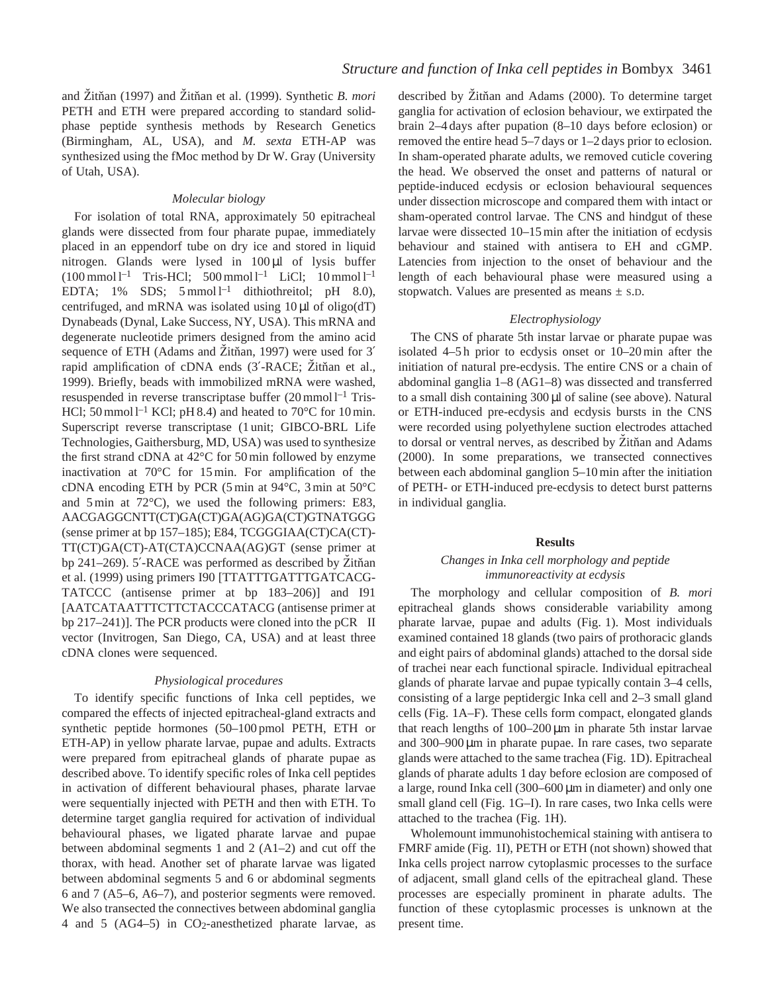and Žitňan (1997) and Žitňan et al. (1999). Synthetic *B. mori* PETH and ETH were prepared according to standard solidphase peptide synthesis methods by Research Genetics (Birmingham, AL, USA), and *M. sexta* ETH-AP was synthesized using the fMoc method by Dr W. Gray (University of Utah, USA).

### *Molecular biology*

For isolation of total RNA, approximately 50 epitracheal glands were dissected from four pharate pupae, immediately placed in an eppendorf tube on dry ice and stored in liquid nitrogen. Glands were lysed in 100 µl of lysis buffer  $(100 \text{ mmol } l^{-1}$  Tris-HCl;  $500 \text{ mmol } l^{-1}$  LiCl;  $10 \text{ mmol } l^{-1}$ EDTA; 1% SDS;  $5 \text{ mmol } 1^{-1}$  dithiothreitol; pH 8.0), centrifuged, and mRNA was isolated using  $10 \mu l$  of oligo(dT) Dynabeads (Dynal, Lake Success, NY, USA). This mRNA and degenerate nucleotide primers designed from the amino acid sequence of ETH (Adams and Žitňan, 1997) were used for 3' rapid amplification of cDNA ends (3'-RACE; Zitňan et al., 1999). Briefly, beads with immobilized mRNA were washed, resuspended in reverse transcriptase buffer  $(20 \text{ mmol } 1^{-1} \text{ Tris}$ -HCl; 50 mmol  $l^{-1}$  KCl; pH 8.4) and heated to 70°C for 10 min. Superscript reverse transcriptase (1 unit; GIBCO-BRL Life Technologies, Gaithersburg, MD, USA) was used to synthesize the first strand cDNA at 42°C for 50 min followed by enzyme inactivation at 70°C for 15 min. For amplification of the cDNA encoding ETH by PCR (5 min at 94°C, 3 min at 50°C and 5 min at 72°C), we used the following primers: E83, AACGAGGCNTT(CT)GA(CT)GA(AG)GA(CT)GTNATGGG (sense primer at bp 157–185); E84, TCGGGIAA(CT)CA(CT)- TT(CT)GA(CT)-AT(CTA)CCNAA(AG)GT (sense primer at bp 241–269). 5'-RACE was performed as described by Zitňan et al. (1999) using primers I90 [TTATTTGATTTGATCACG-TATCCC (antisense primer at bp 183–206)] and I91 [AATCATAATTTCTTCTACCCATACG (antisense primer at bp 217–241)]. The PCR products were cloned into the pCR<sup>™</sup>II vector (Invitrogen, San Diego, CA, USA) and at least three cDNA clones were sequenced.

#### *Physiological procedures*

To identify specific functions of Inka cell peptides, we compared the effects of injected epitracheal-gland extracts and synthetic peptide hormones (50–100 pmol PETH, ETH or ETH-AP) in yellow pharate larvae, pupae and adults. Extracts were prepared from epitracheal glands of pharate pupae as described above. To identify specific roles of Inka cell peptides in activation of different behavioural phases, pharate larvae were sequentially injected with PETH and then with ETH. To determine target ganglia required for activation of individual behavioural phases, we ligated pharate larvae and pupae between abdominal segments 1 and 2 (A1–2) and cut off the thorax, with head. Another set of pharate larvae was ligated between abdominal segments 5 and 6 or abdominal segments 6 and 7 (A5–6, A6–7), and posterior segments were removed. We also transected the connectives between abdominal ganglia 4 and 5 (AG4–5) in CO2-anesthetized pharate larvae, as

described by Žitňan and Adams (2000). To determine target ganglia for activation of eclosion behaviour, we extirpated the brain 2–4 days after pupation (8–10 days before eclosion) or removed the entire head 5–7 days or 1–2 days prior to eclosion. In sham-operated pharate adults, we removed cuticle covering the head. We observed the onset and patterns of natural or peptide-induced ecdysis or eclosion behavioural sequences under dissection microscope and compared them with intact or sham-operated control larvae. The CNS and hindgut of these larvae were dissected 10–15 min after the initiation of ecdysis behaviour and stained with antisera to EH and cGMP. Latencies from injection to the onset of behaviour and the length of each behavioural phase were measured using a stopwatch. Values are presented as means  $\pm$  s.D.

## *Electrophysiology*

The CNS of pharate 5th instar larvae or pharate pupae was isolated 4–5 h prior to ecdysis onset or 10–20 min after the initiation of natural pre-ecdysis. The entire CNS or a chain of abdominal ganglia 1–8 (AG1–8) was dissected and transferred to a small dish containing 300 µl of saline (see above). Natural or ETH-induced pre-ecdysis and ecdysis bursts in the CNS were recorded using polyethylene suction electrodes attached to dorsal or ventral nerves, as described by Zitňan and Adams (2000). In some preparations, we transected connectives between each abdominal ganglion 5–10 min after the initiation of PETH- or ETH-induced pre-ecdysis to detect burst patterns in individual ganglia.

#### **Results**

### *Changes in Inka cell morphology and peptide immunoreactivity at ecdysis*

The morphology and cellular composition of *B. mori* epitracheal glands shows considerable variability among pharate larvae, pupae and adults (Fig. 1). Most individuals examined contained 18 glands (two pairs of prothoracic glands and eight pairs of abdominal glands) attached to the dorsal side of trachei near each functional spiracle. Individual epitracheal glands of pharate larvae and pupae typically contain 3–4 cells, consisting of a large peptidergic Inka cell and 2–3 small gland cells (Fig. 1A–F). These cells form compact, elongated glands that reach lengths of  $100-200 \mu m$  in pharate 5th instar larvae and 300–900 µm in pharate pupae. In rare cases, two separate glands were attached to the same trachea (Fig. 1D). Epitracheal glands of pharate adults 1 day before eclosion are composed of a large, round Inka cell (300–600 µm in diameter) and only one small gland cell (Fig. 1G–I). In rare cases, two Inka cells were attached to the trachea (Fig. 1H).

Wholemount immunohistochemical staining with antisera to FMRF amide (Fig. 1I), PETH or ETH (not shown) showed that Inka cells project narrow cytoplasmic processes to the surface of adjacent, small gland cells of the epitracheal gland. These processes are especially prominent in pharate adults. The function of these cytoplasmic processes is unknown at the present time.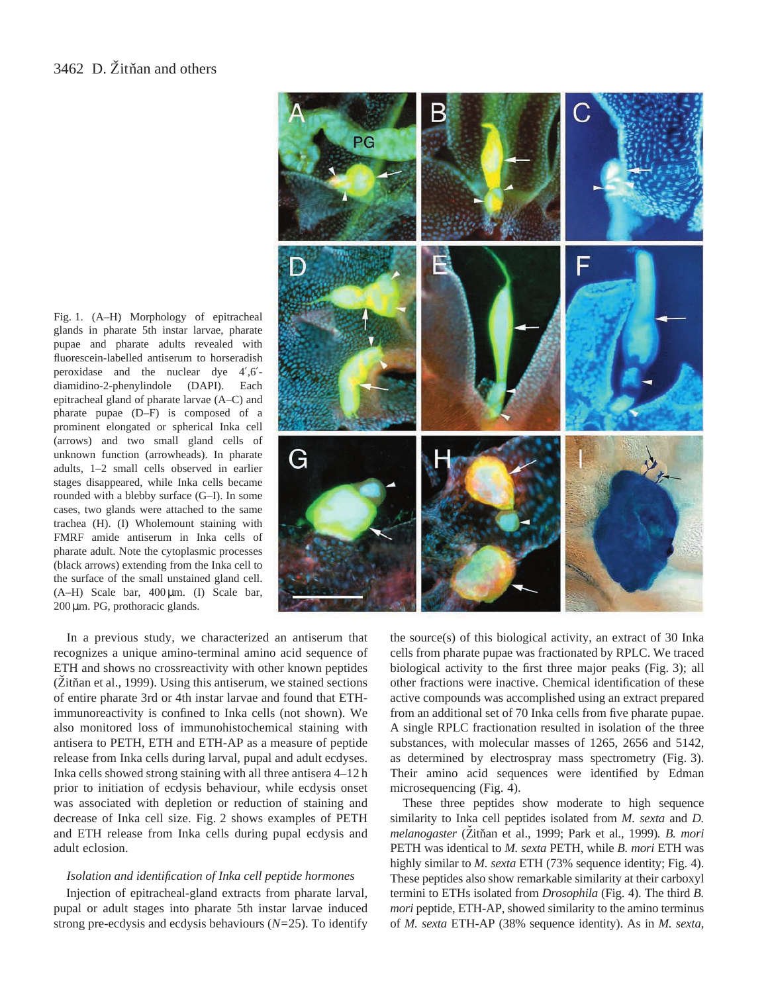

In a previous study, we characterized an antiserum that recognizes a unique amino-terminal amino acid sequence of ETH and shows no crossreactivity with other known peptides  $(Žitñan et al., 1999)$ . Using this antiserum, we stained sections of entire pharate 3rd or 4th instar larvae and found that ETHimmunoreactivity is confined to Inka cells (not shown). We also monitored loss of immunohistochemical staining with antisera to PETH, ETH and ETH-AP as a measure of peptide release from Inka cells during larval, pupal and adult ecdyses. Inka cells showed strong staining with all three antisera 4–12 h prior to initiation of ecdysis behaviour, while ecdysis onset was associated with depletion or reduction of staining and decrease of Inka cell size. Fig. 2 shows examples of PETH and ETH release from Inka cells during pupal ecdysis and adult eclosion.

#### *Isolation and identification of Inka cell peptide hormones*

Injection of epitracheal-gland extracts from pharate larval, pupal or adult stages into pharate 5th instar larvae induced strong pre-ecdysis and ecdysis behaviours (*N=*25). To identify



the source(s) of this biological activity, an extract of 30 Inka cells from pharate pupae was fractionated by RPLC. We traced biological activity to the first three major peaks (Fig. 3); all other fractions were inactive. Chemical identification of these active compounds was accomplished using an extract prepared from an additional set of 70 Inka cells from five pharate pupae. A single RPLC fractionation resulted in isolation of the three substances, with molecular masses of 1265, 2656 and 5142, as determined by electrospray mass spectrometry (Fig. 3). Their amino acid sequences were identified by Edman microsequencing (Fig. 4).

These three peptides show moderate to high sequence similarity to Inka cell peptides isolated from *M. sexta* and *D. melanogaster* (Zˇitnˇan et al., 1999; Park et al., 1999)*. B. mori* PETH was identical to *M. sexta* PETH, while *B. mori* ETH was highly similar to *M. sexta* ETH (73% sequence identity; Fig. 4). These peptides also show remarkable similarity at their carboxyl termini to ETHs isolated from *Drosophila* (Fig. 4). The third *B. mori* peptide, ETH-AP, showed similarity to the amino terminus of *M. sexta* ETH-AP (38% sequence identity). As in *M. sexta*,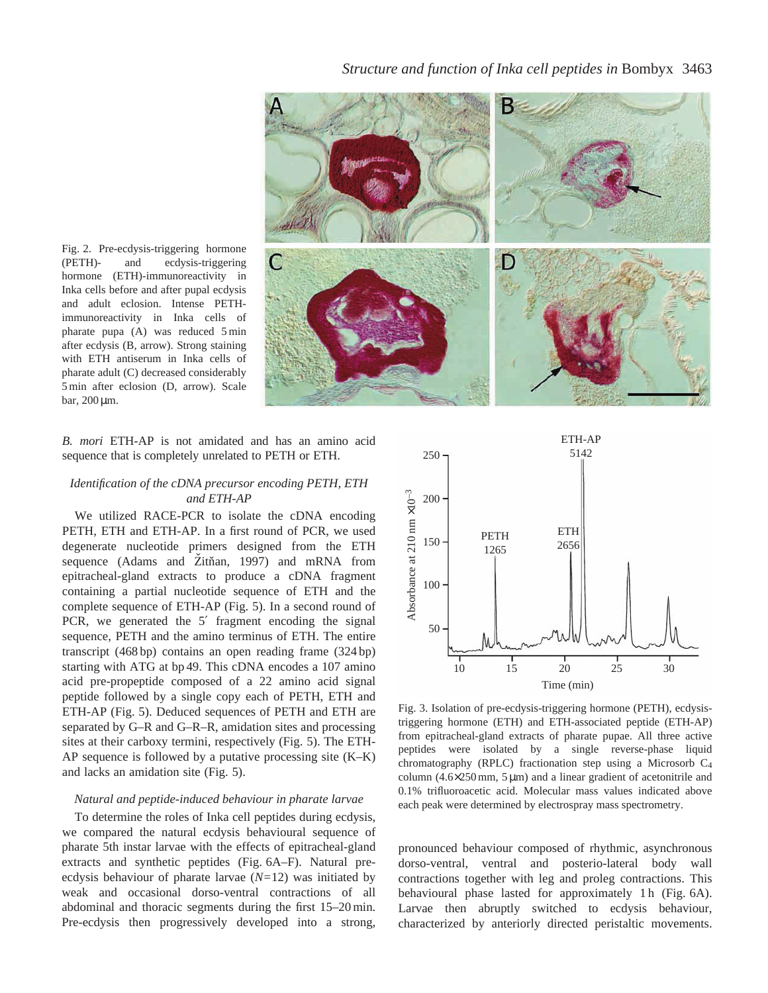

Fig. 2. Pre-ecdysis-triggering hormone (PETH)- and ecdysis-triggering hormone (ETH)-immunoreactivity in Inka cells before and after pupal ecdysis and adult eclosion. Intense PETHimmunoreactivity in Inka cells of pharate pupa (A) was reduced 5 min after ecdysis (B, arrow). Strong staining with ETH antiserum in Inka cells of pharate adult (C) decreased considerably 5 min after eclosion (D, arrow). Scale bar, 200 µm.

## *B. mori* ETH-AP is not amidated and has an amino acid sequence that is completely unrelated to PETH or ETH.

## *Identification of the cDNA precursor encoding PETH, ETH and ETH-AP*

We utilized RACE-PCR to isolate the cDNA encoding PETH, ETH and ETH-AP. In a first round of PCR, we used degenerate nucleotide primers designed from the ETH sequence (Adams and Žitňan, 1997) and mRNA from epitracheal-gland extracts to produce a cDNA fragment containing a partial nucleotide sequence of ETH and the complete sequence of ETH-AP (Fig. 5). In a second round of PCR, we generated the 5′ fragment encoding the signal sequence, PETH and the amino terminus of ETH. The entire transcript (468 bp) contains an open reading frame (324 bp) starting with ATG at bp 49. This cDNA encodes a 107 amino acid pre-propeptide composed of a 22 amino acid signal peptide followed by a single copy each of PETH, ETH and ETH-AP (Fig. 5). Deduced sequences of PETH and ETH are separated by G–R and G–R–R, amidation sites and processing sites at their carboxy termini, respectively (Fig. 5). The ETH-AP sequence is followed by a putative processing site (K–K) and lacks an amidation site (Fig. 5).

#### *Natural and peptide-induced behaviour in pharate larvae*

To determine the roles of Inka cell peptides during ecdysis, we compared the natural ecdysis behavioural sequence of pharate 5th instar larvae with the effects of epitracheal-gland extracts and synthetic peptides (Fig. 6A–F). Natural preecdysis behaviour of pharate larvae (*N=*12) was initiated by weak and occasional dorso-ventral contractions of all abdominal and thoracic segments during the first 15–20 min. Pre-ecdysis then progressively developed into a strong,



Fig. 3. Isolation of pre-ecdysis-triggering hormone (PETH), ecdysistriggering hormone (ETH) and ETH-associated peptide (ETH-AP) from epitracheal-gland extracts of pharate pupae. All three active peptides were isolated by a single reverse-phase liquid chromatography (RPLC) fractionation step using a Microsorb C4 column  $(4.6 \times 250 \text{ mm}, 5 \mu \text{m})$  and a linear gradient of acetonitrile and 0.1% trifluoroacetic acid. Molecular mass values indicated above each peak were determined by electrospray mass spectrometry.

pronounced behaviour composed of rhythmic, asynchronous dorso-ventral, ventral and posterio-lateral body wall contractions together with leg and proleg contractions. This behavioural phase lasted for approximately 1h (Fig. 6A). Larvae then abruptly switched to ecdysis behaviour, characterized by anteriorly directed peristaltic movements.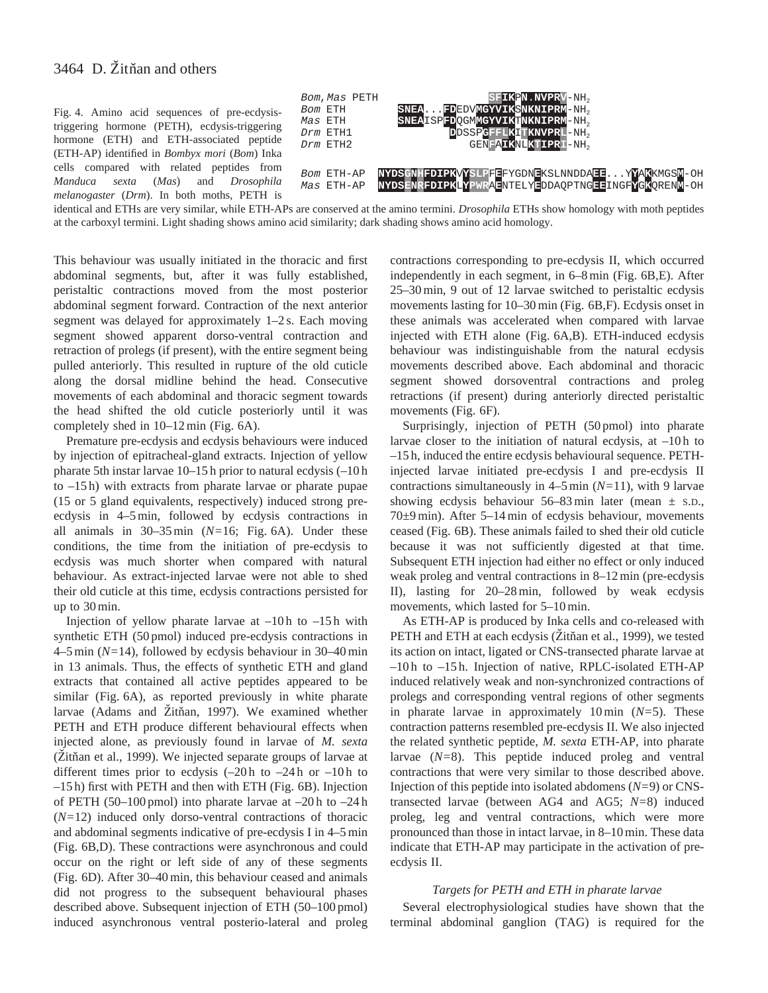Fig. 4. Amino acid sequences of pre-ecdysistriggering hormone (PETH), ecdysis-triggering hormone (ETH) and ETH-associated peptide (ETH-AP) identified in *Bombyx mori* (*Bom*) Inka cells compared with related peptides from *Manduca sexta* (*Mas*) and *Drosophila melanogaster* (*Drm*). In both moths, PETH is



identical and ETHs are very similar, while ETH-APs are conserved at the amino termini. *Drosophila* ETHs show homology with moth peptides at the carboxyl termini. Light shading shows amino acid similarity; dark shading shows amino acid homology.

This behaviour was usually initiated in the thoracic and first abdominal segments, but, after it was fully established, peristaltic contractions moved from the most posterior abdominal segment forward. Contraction of the next anterior segment was delayed for approximately 1–2 s. Each moving segment showed apparent dorso-ventral contraction and retraction of prolegs (if present), with the entire segment being pulled anteriorly. This resulted in rupture of the old cuticle along the dorsal midline behind the head. Consecutive movements of each abdominal and thoracic segment towards the head shifted the old cuticle posteriorly until it was completely shed in 10–12 min (Fig. 6A).

Premature pre-ecdysis and ecdysis behaviours were induced by injection of epitracheal-gland extracts. Injection of yellow pharate 5th instar larvae 10–15 h prior to natural ecdysis (–10 h to –15 h) with extracts from pharate larvae or pharate pupae (15 or 5 gland equivalents, respectively) induced strong preecdysis in 4–5 min, followed by ecdysis contractions in all animals in 30–35 min (*N=*16; Fig. 6A). Under these conditions, the time from the initiation of pre-ecdysis to ecdysis was much shorter when compared with natural behaviour. As extract-injected larvae were not able to shed their old cuticle at this time, ecdysis contractions persisted for up to 30 min.

Injection of yellow pharate larvae at  $-10h$  to  $-15h$  with synthetic ETH (50 pmol) induced pre-ecdysis contractions in 4–5 min (*N=*14), followed by ecdysis behaviour in 30–40 min in 13 animals. Thus, the effects of synthetic ETH and gland extracts that contained all active peptides appeared to be similar (Fig. 6A), as reported previously in white pharate larvae (Adams and Žitňan, 1997). We examined whether PETH and ETH produce different behavioural effects when injected alone, as previously found in larvae of *M. sexta*  $(Zit$ ñan et al., 1999). We injected separate groups of larvae at different times prior to ecdysis  $(-20h)$  to  $-24h$  or  $-10h$  to –15 h) first with PETH and then with ETH (Fig. 6B). Injection of PETH (50–100 pmol) into pharate larvae at  $-20h$  to  $-24h$ (*N=*12) induced only dorso-ventral contractions of thoracic and abdominal segments indicative of pre-ecdysis I in 4–5 min (Fig. 6B,D). These contractions were asynchronous and could occur on the right or left side of any of these segments (Fig. 6D). After 30–40 min, this behaviour ceased and animals did not progress to the subsequent behavioural phases described above. Subsequent injection of ETH (50–100 pmol) induced asynchronous ventral posterio-lateral and proleg

contractions corresponding to pre-ecdysis II, which occurred independently in each segment, in 6–8 min (Fig. 6B,E). After 25–30 min, 9 out of 12 larvae switched to peristaltic ecdysis movements lasting for 10–30 min (Fig. 6B,F). Ecdysis onset in these animals was accelerated when compared with larvae injected with ETH alone (Fig. 6A,B). ETH-induced ecdysis behaviour was indistinguishable from the natural ecdysis movements described above. Each abdominal and thoracic segment showed dorsoventral contractions and proleg retractions (if present) during anteriorly directed peristaltic movements (Fig. 6F).

Surprisingly, injection of PETH (50 pmol) into pharate larvae closer to the initiation of natural ecdysis, at  $-10h$  to –15 h, induced the entire ecdysis behavioural sequence. PETHinjected larvae initiated pre-ecdysis I and pre-ecdysis II contractions simultaneously in 4–5 min (*N=*11), with 9 larvae showing ecdysis behaviour  $56-83$  min later (mean  $\pm$  s.D., 70±9 min). After 5–14 min of ecdysis behaviour, movements ceased (Fig. 6B). These animals failed to shed their old cuticle because it was not sufficiently digested at that time. Subsequent ETH injection had either no effect or only induced weak proleg and ventral contractions in 8–12 min (pre-ecdysis II), lasting for 20–28 min, followed by weak ecdysis movements, which lasted for 5–10 min.

As ETH-AP is produced by Inka cells and co-released with PETH and ETH at each ecdysis (Zitňan et al., 1999), we tested its action on intact, ligated or CNS-transected pharate larvae at –10 h to –15 h. Injection of native, RPLC-isolated ETH-AP induced relatively weak and non-synchronized contractions of prolegs and corresponding ventral regions of other segments in pharate larvae in approximately 10 min (*N=*5). These contraction patterns resembled pre-ecdysis II. We also injected the related synthetic peptide, *M. sexta* ETH-AP, into pharate larvae (*N=*8). This peptide induced proleg and ventral contractions that were very similar to those described above. Injection of this peptide into isolated abdomens (*N=*9) or CNStransected larvae (between AG4 and AG5; *N=*8) induced proleg, leg and ventral contractions, which were more pronounced than those in intact larvae, in 8–10 min. These data indicate that ETH-AP may participate in the activation of preecdysis II.

#### *Targets for PETH and ETH in pharate larvae*

Several electrophysiological studies have shown that the terminal abdominal ganglion (TAG) is required for the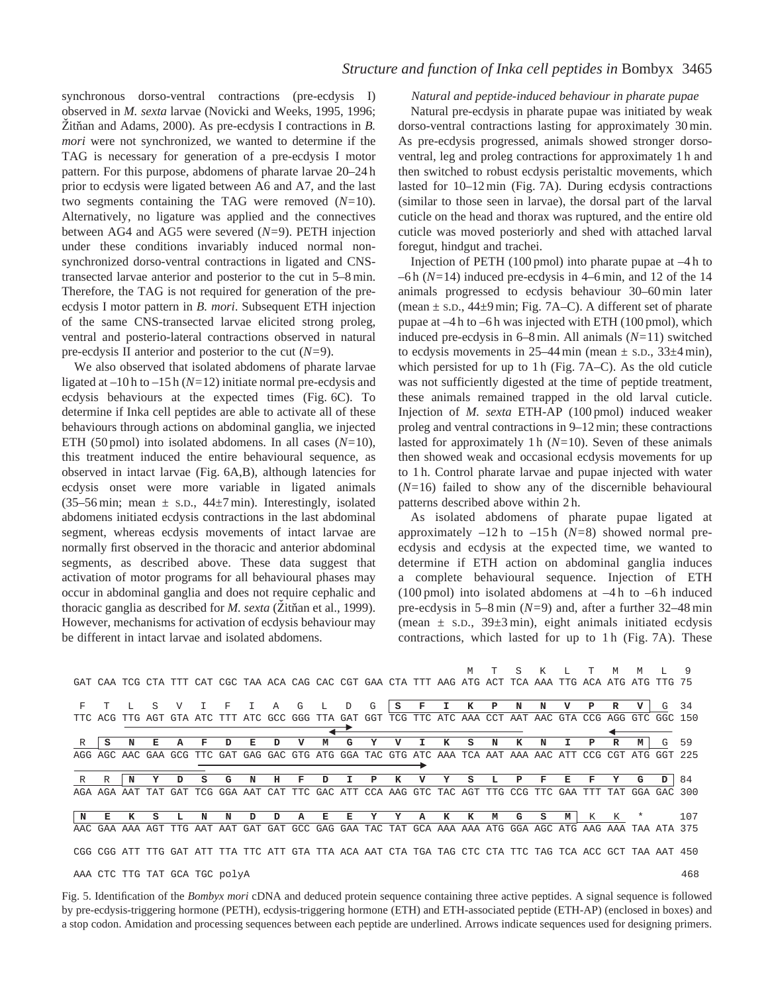synchronous dorso-ventral contractions (pre-ecdysis I) observed in *M. sexta* larvae (Novicki and Weeks, 1995, 1996; Zitňan and Adams, 2000). As pre-ecdysis I contractions in *B*. *mori* were not synchronized, we wanted to determine if the TAG is necessary for generation of a pre-ecdysis I motor pattern. For this purpose, abdomens of pharate larvae 20–24 h prior to ecdysis were ligated between A6 and A7, and the last two segments containing the TAG were removed (*N=*10). Alternatively, no ligature was applied and the connectives between AG4 and AG5 were severed (*N=*9). PETH injection under these conditions invariably induced normal nonsynchronized dorso-ventral contractions in ligated and CNStransected larvae anterior and posterior to the cut in 5–8 min. Therefore, the TAG is not required for generation of the preecdysis I motor pattern in *B. mori*. Subsequent ETH injection of the same CNS-transected larvae elicited strong proleg, ventral and posterio-lateral contractions observed in natural pre-ecdysis II anterior and posterior to the cut (*N=*9).

We also observed that isolated abdomens of pharate larvae ligated at –10 h to –15 h (*N=*12) initiate normal pre-ecdysis and ecdysis behaviours at the expected times (Fig. 6C). To determine if Inka cell peptides are able to activate all of these behaviours through actions on abdominal ganglia, we injected ETH (50 pmol) into isolated abdomens. In all cases (*N=*10), this treatment induced the entire behavioural sequence, as observed in intact larvae (Fig. 6A,B), although latencies for ecdysis onset were more variable in ligated animals (35–56 min; mean  $\pm$  s.p., 44 $\pm$ 7 min). Interestingly, isolated abdomens initiated ecdysis contractions in the last abdominal segment, whereas ecdysis movements of intact larvae are normally first observed in the thoracic and anterior abdominal segments, as described above. These data suggest that activation of motor programs for all behavioural phases may occur in abdominal ganglia and does not require cephalic and thoracic ganglia as described for *M. sexta* (Zitňan et al., 1999). However, mechanisms for activation of ecdysis behaviour may be different in intact larvae and isolated abdomens.

### *Natural and peptide-induced behaviour in pharate pupae*

Natural pre-ecdysis in pharate pupae was initiated by weak dorso-ventral contractions lasting for approximately 30 min. As pre-ecdysis progressed, animals showed stronger dorsoventral, leg and proleg contractions for approximately 1 h and then switched to robust ecdysis peristaltic movements, which lasted for 10–12 min (Fig. 7A). During ecdysis contractions (similar to those seen in larvae), the dorsal part of the larval cuticle on the head and thorax was ruptured, and the entire old cuticle was moved posteriorly and shed with attached larval foregut, hindgut and trachei.

Injection of PETH (100 pmol) into pharate pupae at –4 h to –6 h (*N=*14) induced pre-ecdysis in 4–6 min, and 12 of the 14 animals progressed to ecdysis behaviour 30–60 min later (mean  $\pm$  s.d., 44 $\pm$ 9 min; Fig. 7A–C). A different set of pharate pupae at –4 h to –6 h was injected with ETH (100 pmol), which induced pre-ecdysis in 6–8 min. All animals (*N=*11) switched to ecdysis movements in 25–44 min (mean  $\pm$  s.p., 33 $\pm$ 4 min), which persisted for up to 1 h (Fig. 7A–C). As the old cuticle was not sufficiently digested at the time of peptide treatment, these animals remained trapped in the old larval cuticle. Injection of *M. sexta* ETH-AP (100 pmol) induced weaker proleg and ventral contractions in 9–12 min; these contractions lasted for approximately 1 h (*N=*10). Seven of these animals then showed weak and occasional ecdysis movements for up to 1 h. Control pharate larvae and pupae injected with water (*N=*16) failed to show any of the discernible behavioural patterns described above within 2 h.

As isolated abdomens of pharate pupae ligated at approximately –12 h to –15 h (*N=*8) showed normal preecdysis and ecdysis at the expected time, we wanted to determine if ETH action on abdominal ganglia induces a complete behavioural sequence. Injection of ETH (100 pmol) into isolated abdomens at –4 h to –6 h induced pre-ecdysis in 5–8 min (*N=*9) and, after a further 32–48 min (mean  $\pm$  s.D., 39 $\pm$ 3 min), eight animals initiated ecdysis contractions, which lasted for up to 1 h (Fig. 7A). These

|  |  |  |  |                                                                                                        |  |  |  |  |  |  |  | MTSKL TMML 9 |  |
|--|--|--|--|--------------------------------------------------------------------------------------------------------|--|--|--|--|--|--|--|--------------|--|
|  |  |  |  | GAT CAA TCG CTA TTT CAT CGC TAA ACA CAG CAC CGT GAA CTA TTT AAG ATG ACT TCA AAA TTG ACA ATG ATG TTG 75 |  |  |  |  |  |  |  |              |  |

| F   |         |                     | S   | V   |                                                                                         | F       |     | Α   | G                   | L  | D  | G   | S | $\mathbf F$                                                     | $\mathbf{I}$ | к | P | N | N           |    | P   | R       |         | G       | 34  |
|-----|---------|---------------------|-----|-----|-----------------------------------------------------------------------------------------|---------|-----|-----|---------------------|----|----|-----|---|-----------------------------------------------------------------|--------------|---|---|---|-------------|----|-----|---------|---------|---------|-----|
|     | TTC ACG | TTG                 | AGT |     | GTA ATC TTT                                                                             |         |     |     | ATC GCC GGG TTA GAT |    |    | GGT |   | TCG TTC ATC AAA CCT                                             |              |   |   |   | AAT AAC GTA |    | CCG |         | AGG GTC | GGC 150 |     |
|     |         |                     |     |     |                                                                                         |         |     |     |                     |    |    |     |   |                                                                 |              |   |   |   |             |    |     |         |         |         |     |
| R   | s       |                     | F.  |     |                                                                                         | ת       | F.  |     |                     |    |    |     |   |                                                                 |              |   | N |   |             |    | P   | R       | M       | G       | 59  |
| AGG |         | AGC AAC GAA         |     | GCG |                                                                                         | TTC GAT |     |     |                     |    |    |     |   | GAG GAC GTG ATG GGA TAC GTG ATC AAA TCA AAT AAA AAC ATT CCG     |              |   |   |   |             |    |     |         | CGT ATG | GGT     | 225 |
|     |         |                     |     |     |                                                                                         |         |     |     |                     |    |    |     |   |                                                                 |              |   |   |   |             |    |     |         |         |         |     |
|     | R       |                     |     |     |                                                                                         | G       | N   | н   | F                   | ה  |    | P   |   |                                                                 |              | s |   | Р | F           | Е. | F   | Y       | G       | D       | 84  |
|     |         | AGA AGA AAT TAT     |     |     | GAT TCG GGA                                                                             |         | AAT |     |                     |    |    |     |   | CAT TTC GAC ATT CCA AAG GTC TAC AGT TTG CCG TTC GAA             |              |   |   |   |             |    |     | TTT TAT | GGA     | GAC.    | 300 |
|     |         |                     |     |     |                                                                                         |         |     |     |                     |    |    |     |   |                                                                 |              |   |   |   |             |    |     |         |         |         |     |
| N   | F.      |                     | s   |     |                                                                                         | N       | D   | ה   |                     | F. | E. | Y   | Y | А                                                               | к            | к | М | G | s           | м  | K   | K       | $\ast$  |         | 107 |
|     |         | AAC GAA AAA AGT TTG |     |     | AAT                                                                                     | AAT     | GAT | GAT |                     |    |    |     |   | GCC GAG GAA TAC TAT GCA AAA AAA ATG GGA AGC ATG AAG AAA TAA ATA |              |   |   |   |             |    |     |         |         |         | 375 |
|     |         |                     |     |     |                                                                                         |         |     |     |                     |    |    |     |   |                                                                 |              |   |   |   |             |    |     |         |         |         |     |
|     |         | CGG CGG ATT TTG     |     |     | GAT ATT TTA TTC ATT GTA TTA ACA AAT CTA TGA TAG CTC CTA TTC TAG TCA ACC GCT TAA AAT 450 |         |     |     |                     |    |    |     |   |                                                                 |              |   |   |   |             |    |     |         |         |         |     |
|     |         |                     |     |     |                                                                                         |         |     |     |                     |    |    |     |   |                                                                 |              |   |   |   |             |    |     |         |         |         |     |
|     |         |                     |     |     | AAA CTC TTG TAT GCA TGC polyA                                                           |         |     |     |                     |    |    |     |   |                                                                 |              |   |   |   |             |    |     |         |         |         | 468 |

Fig. 5. Identification of the *Bombyx mori* cDNA and deduced protein sequence containing three active peptides. A signal sequence is followed by pre-ecdysis-triggering hormone (PETH), ecdysis-triggering hormone (ETH) and ETH-associated peptide (ETH-AP) (enclosed in boxes) and a stop codon. Amidation and processing sequences between each peptide are underlined. Arrows indicate sequences used for designing primers.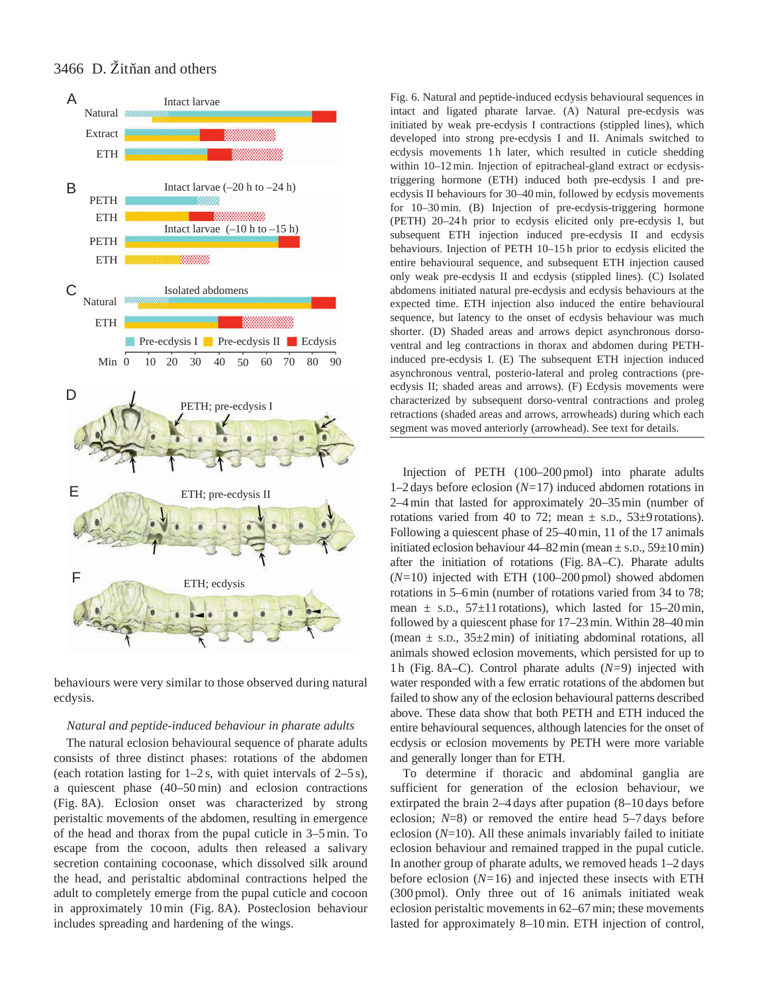



behaviours were very similar to those observed during natural ecdysis.

### *Natural and peptide-induced behaviour in pharate adults*

The natural eclosion behavioural sequence of pharate adults consists of three distinct phases: rotations of the abdomen (each rotation lasting for  $1-2$  s, with quiet intervals of  $2-5$  s), a quiescent phase (40–50 min) and eclosion contractions (Fig. 8A). Eclosion onset was characterized by strong peristaltic movements of the abdomen, resulting in emergence of the head and thorax from the pupal cuticle in 3–5 min. To escape from the cocoon, adults then released a salivary secretion containing cocoonase, which dissolved silk around the head, and peristaltic abdominal contractions helped the adult to completely emerge from the pupal cuticle and cocoon in approximately 10 min (Fig. 8A). Posteclosion behaviour includes spreading and hardening of the wings.

Fig. 6. Natural and peptide-induced ecdysis behavioural sequences in intact and ligated pharate larvae. (A) Natural pre-ecdysis was initiated by weak pre-ecdysis I contractions (stippled lines), which developed into strong pre-ecdysis I and II. Animals switched to ecdysis movements 1h later, which resulted in cuticle shedding within 10–12 min. Injection of epitracheal-gland extract or ecdysistriggering hormone (ETH) induced both pre-ecdysis I and preecdysis II behaviours for 30–40 min, followed by ecdysis movements for 10–30 min. (B) Injection of pre-ecdysis-triggering hormone (PETH) 20–24 h prior to ecdysis elicited only pre-ecdysis I, but subsequent ETH injection induced pre-ecdysis II and ecdysis behaviours. Injection of PETH 10–15 h prior to ecdysis elicited the entire behavioural sequence, and subsequent ETH injection caused only weak pre-ecdysis II and ecdysis (stippled lines). (C) Isolated abdomens initiated natural pre-ecdysis and ecdysis behaviours at the expected time. ETH injection also induced the entire behavioural sequence, but latency to the onset of ecdysis behaviour was much shorter. (D) Shaded areas and arrows depict asynchronous dorsoventral and leg contractions in thorax and abdomen during PETHinduced pre-ecdysis I. (E) The subsequent ETH injection induced asynchronous ventral, posterio-lateral and proleg contractions (preecdysis II; shaded areas and arrows). (F) Ecdysis movements were characterized by subsequent dorso-ventral contractions and proleg retractions (shaded areas and arrows, arrowheads) during which each segment was moved anteriorly (arrowhead). See text for details.

Injection of PETH (100–200 pmol) into pharate adults 1–2 days before eclosion (*N=*17) induced abdomen rotations in 2–4 min that lasted for approximately 20–35 min (number of rotations varied from 40 to 72; mean  $\pm$  s.D., 53 $\pm$ 9 rotations). Following a quiescent phase of 25–40 min, 11 of the 17 animals initiated eclosion behaviour  $44-82$  min (mean  $\pm$  s.D.,  $59\pm10$  min) after the initiation of rotations (Fig. 8A–C). Pharate adults (*N=*10) injected with ETH (100–200 pmol) showed abdomen rotations in 5–6 min (number of rotations varied from 34 to 78; mean  $\pm$  s.D., 57 $\pm$ 11 rotations), which lasted for 15–20 min, followed by a quiescent phase for 17–23 min. Within 28–40 min (mean  $\pm$  s.D., 35 $\pm$ 2 min) of initiating abdominal rotations, all animals showed eclosion movements, which persisted for up to 1 h (Fig. 8A–C). Control pharate adults (*N=*9) injected with water responded with a few erratic rotations of the abdomen but failed to show any of the eclosion behavioural patterns described above. These data show that both PETH and ETH induced the entire behavioural sequences, although latencies for the onset of ecdysis or eclosion movements by PETH were more variable and generally longer than for ETH.

To determine if thoracic and abdominal ganglia are sufficient for generation of the eclosion behaviour, we extirpated the brain 2–4 days after pupation (8–10 days before eclosion; *N*=8) or removed the entire head 5–7 days before eclosion (*N*=10). All these animals invariably failed to initiate eclosion behaviour and remained trapped in the pupal cuticle. In another group of pharate adults, we removed heads 1–2 days before eclosion (*N=*16) and injected these insects with ETH (300 pmol). Only three out of 16 animals initiated weak eclosion peristaltic movements in 62–67 min; these movements lasted for approximately 8–10 min. ETH injection of control,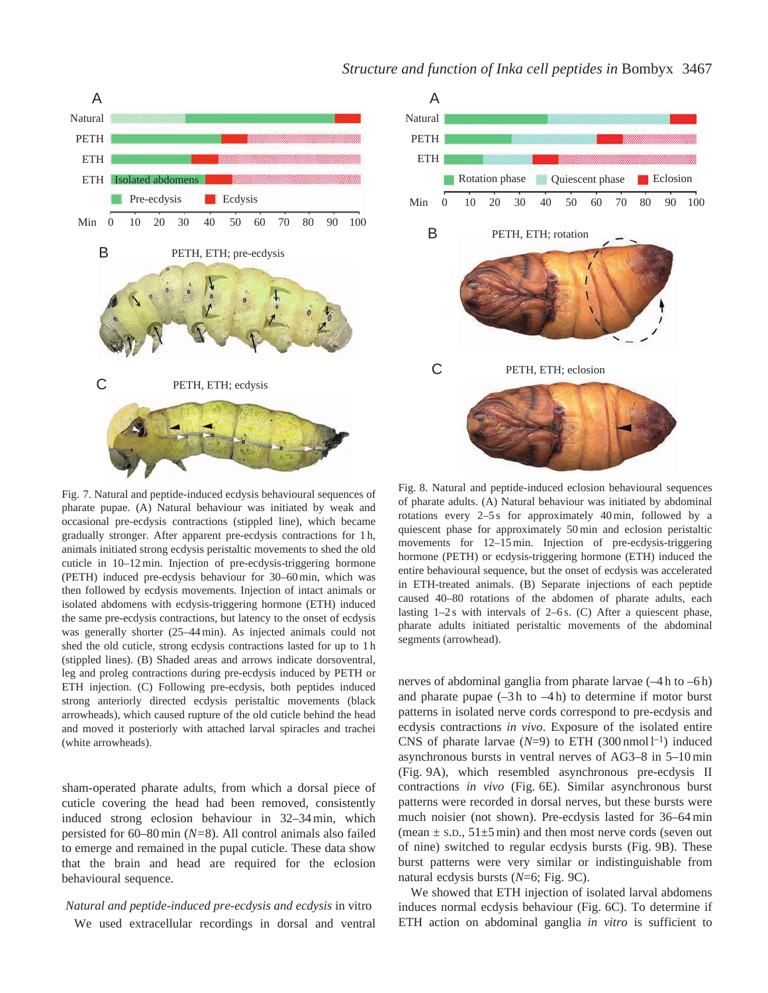# *Structure and function of Inka cell peptides in* Bombyx 3467

Rotation phase

PETH, ETH; rotation

Quiescent phase Eclosion



Fig. 7. Natural and peptide-induced ecdysis behavioural sequences of pharate pupae. (A) Natural behaviour was initiated by weak and occasional pre-ecdysis contractions (stippled line), which became gradually stronger. After apparent pre-ecdysis contractions for 1 h, animals initiated strong ecdysis peristaltic movements to shed the old cuticle in 10–12 min. Injection of pre-ecdysis-triggering hormone (PETH) induced pre-ecdysis behaviour for 30–60 min, which was then followed by ecdysis movements. Injection of intact animals or isolated abdomens with ecdysis-triggering hormone (ETH) induced the same pre-ecdysis contractions, but latency to the onset of ecdysis was generally shorter (25–44 min). As injected animals could not shed the old cuticle, strong ecdysis contractions lasted for up to 1 h (stippled lines). (B) Shaded areas and arrows indicate dorsoventral, leg and proleg contractions during pre-ecdysis induced by PETH or ETH injection. (C) Following pre-ecdysis, both peptides induced strong anteriorly directed ecdysis peristaltic movements (black arrowheads), which caused rupture of the old cuticle behind the head and moved it posteriorly with attached larval spiracles and trachei (white arrowheads).

sham-operated pharate adults, from which a dorsal piece of cuticle covering the head had been removed, consistently induced strong eclosion behaviour in 32–34 min, which persisted for 60–80 min (*N=*8). All control animals also failed to emerge and remained in the pupal cuticle. These data show that the brain and head are required for the eclosion behavioural sequence.

## *Natural and peptide-induced pre-ecdysis and ecdysis* in vitro We used extracellular recordings in dorsal and ventral

Fig. 8. Natural and peptide-induced eclosion behavioural sequences of pharate adults. (A) Natural behaviour was initiated by abdominal rotations every 2–5 s for approximately 40 min, followed by a quiescent phase for approximately 50 min and eclosion peristaltic movements for 12–15 min. Injection of pre-ecdysis-triggering hormone (PETH) or ecdysis-triggering hormone (ETH) induced the entire behavioural sequence, but the onset of ecdysis was accelerated in ETH-treated animals. (B) Separate injections of each peptide caused 40–80 rotations of the abdomen of pharate adults, each lasting  $1-2s$  with intervals of  $2-6s$ . (C) After a quiescent phase, pharate adults initiated peristaltic movements of the abdominal segments (arrowhead).

PETH, ETH; eclosion

nerves of abdominal ganglia from pharate larvae (–4 h to –6 h) and pharate pupae  $(-3h)$  to  $-4h$ ) to determine if motor burst patterns in isolated nerve cords correspond to pre-ecdysis and ecdysis contractions *in vivo*. Exposure of the isolated entire CNS of pharate larvae  $(N=9)$  to ETH  $(300 \text{ nmol } l^{-1})$  induced asynchronous bursts in ventral nerves of AG3–8 in 5–10 min (Fig. 9A), which resembled asynchronous pre-ecdysis II contractions *in vivo* (Fig. 6E). Similar asynchronous burst patterns were recorded in dorsal nerves, but these bursts were much noisier (not shown). Pre-ecdysis lasted for 36–64 min (mean  $\pm$  s.D., 51 $\pm$ 5 min) and then most nerve cords (seven out of nine) switched to regular ecdysis bursts (Fig. 9B). These burst patterns were very similar or indistinguishable from natural ecdysis bursts (*N*=6; Fig. 9C).

We showed that ETH injection of isolated larval abdomens induces normal ecdysis behaviour (Fig. 6C). To determine if ETH action on abdominal ganglia *in vitro* is sufficient to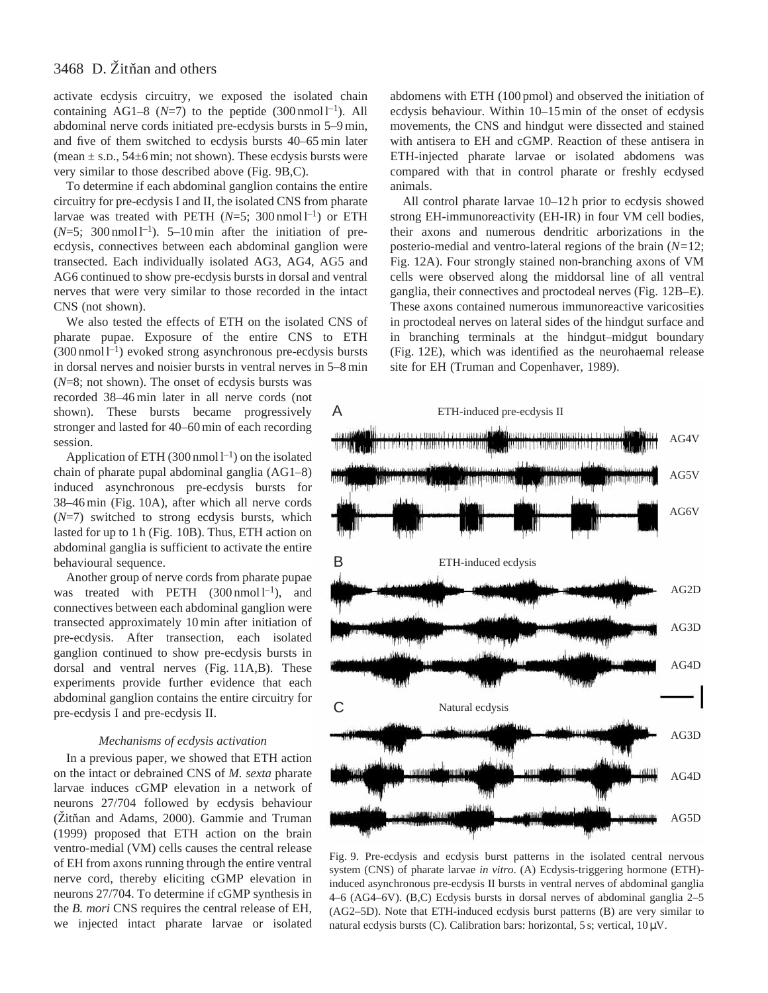activate ecdysis circuitry, we exposed the isolated chain containing AG1–8 ( $N=7$ ) to the peptide (300 nmol l<sup>-1</sup>). All abdominal nerve cords initiated pre-ecdysis bursts in 5–9 min, and five of them switched to ecdysis bursts 40–65 min later (mean  $\pm$  s.D., 54 $\pm$ 6 min; not shown). These ecdysis bursts were very similar to those described above (Fig. 9B,C).

To determine if each abdominal ganglion contains the entire circuitry for pre-ecdysis I and II, the isolated CNS from pharate larvae was treated with PETH  $(N=5; 300 \text{ nmol } l^{-1})$  or ETH  $(N=5; 300 \text{ nmol }1^{-1})$ . 5–10 min after the initiation of preecdysis, connectives between each abdominal ganglion were transected. Each individually isolated AG3, AG4, AG5 and AG6 continued to show pre-ecdysis bursts in dorsal and ventral nerves that were very similar to those recorded in the intact CNS (not shown).

We also tested the effects of ETH on the isolated CNS of pharate pupae. Exposure of the entire CNS to ETH  $(300 \text{ nmol } l^{-1})$  evoked strong asynchronous pre-ecdysis bursts in dorsal nerves and noisier bursts in ventral nerves in 5–8 min

(*N*=8; not shown). The onset of ecdysis bursts was recorded 38–46 min later in all nerve cords (not shown). These bursts became progressively stronger and lasted for 40–60 min of each recording session.

Application of ETH (300 nmol  $l^{-1}$ ) on the isolated chain of pharate pupal abdominal ganglia (AG1–8) induced asynchronous pre-ecdysis bursts for 38–46 min (Fig. 10A), after which all nerve cords (*N*=7) switched to strong ecdysis bursts, which lasted for up to 1 h (Fig. 10B). Thus, ETH action on abdominal ganglia is sufficient to activate the entire behavioural sequence.

Another group of nerve cords from pharate pupae was treated with PETH  $(300 \text{ nmol } l^{-1})$ , and connectives between each abdominal ganglion were transected approximately 10 min after initiation of pre-ecdysis. After transection, each isolated ganglion continued to show pre-ecdysis bursts in dorsal and ventral nerves (Fig. 11A,B). These experiments provide further evidence that each abdominal ganglion contains the entire circuitry for pre-ecdysis I and pre-ecdysis II.

#### *Mechanisms of ecdysis activation*

In a previous paper, we showed that ETH action on the intact or debrained CNS of *M. sexta* pharate larvae induces cGMP elevation in a network of neurons 27/704 followed by ecdysis behaviour (Zitňan and Adams, 2000). Gammie and Truman (1999) proposed that ETH action on the brain ventro-medial (VM) cells causes the central release of EH from axons running through the entire ventral nerve cord, thereby eliciting cGMP elevation in neurons 27/704. To determine if cGMP synthesis in the *B. mori* CNS requires the central release of EH, we injected intact pharate larvae or isolated

abdomens with ETH (100 pmol) and observed the initiation of ecdysis behaviour. Within 10–15 min of the onset of ecdysis movements, the CNS and hindgut were dissected and stained with antisera to EH and cGMP. Reaction of these antisera in ETH-injected pharate larvae or isolated abdomens was compared with that in control pharate or freshly ecdysed animals.

All control pharate larvae 10–12 h prior to ecdysis showed strong EH-immunoreactivity (EH-IR) in four VM cell bodies, their axons and numerous dendritic arborizations in the posterio-medial and ventro-lateral regions of the brain (*N=*12; Fig. 12A). Four strongly stained non-branching axons of VM cells were observed along the middorsal line of all ventral ganglia, their connectives and proctodeal nerves (Fig. 12B–E). These axons contained numerous immunoreactive varicosities in proctodeal nerves on lateral sides of the hindgut surface and in branching terminals at the hindgut–midgut boundary (Fig. 12E), which was identified as the neurohaemal release site for EH (Truman and Copenhaver, 1989).



Fig. 9. Pre-ecdysis and ecdysis burst patterns in the isolated central nervous system (CNS) of pharate larvae *in vitro*. (A) Ecdysis-triggering hormone (ETH) induced asynchronous pre-ecdysis II bursts in ventral nerves of abdominal ganglia 4–6 (AG4–6V). (B,C) Ecdysis bursts in dorsal nerves of abdominal ganglia 2–5 (AG2–5D). Note that ETH-induced ecdysis burst patterns (B) are very similar to natural ecdysis bursts (C). Calibration bars: horizontal,  $5 \text{ s}$ ; vertical,  $10 \mu V$ .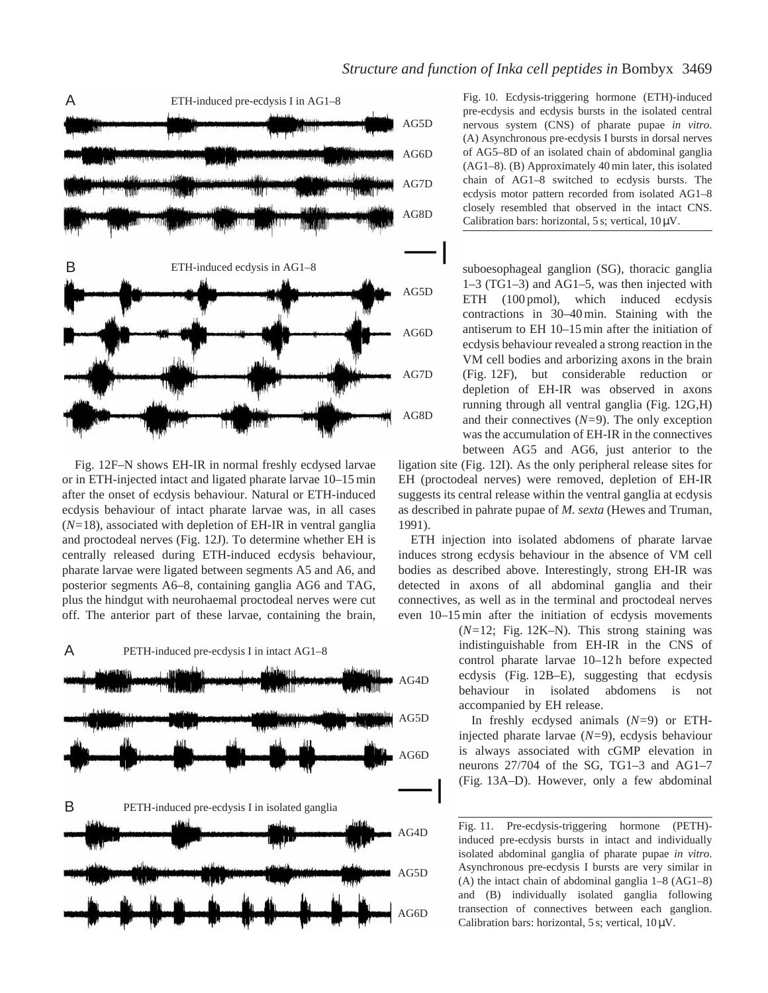

Fig. 12F–N shows EH-IR in normal freshly ecdysed larvae or in ETH-injected intact and ligated pharate larvae 10–15 min after the onset of ecdysis behaviour. Natural or ETH-induced ecdysis behaviour of intact pharate larvae was, in all cases (*N=*18), associated with depletion of EH-IR in ventral ganglia and proctodeal nerves (Fig. 12J). To determine whether EH is centrally released during ETH-induced ecdysis behaviour, pharate larvae were ligated between segments A5 and A6, and posterior segments A6–8, containing ganglia AG6 and TAG, plus the hindgut with neurohaemal proctodeal nerves were cut off. The anterior part of these larvae, containing the brain,

### A PETH-induced pre-ecdysis I in intact AG1–8



Fig. 10. Ecdysis-triggering hormone (ETH)-induced pre-ecdysis and ecdysis bursts in the isolated central nervous system (CNS) of pharate pupae *in vitro*. (A) Asynchronous pre-ecdysis I bursts in dorsal nerves of AG5–8D of an isolated chain of abdominal ganglia (AG1–8). (B) Approximately 40 min later, this isolated chain of AG1–8 switched to ecdysis bursts. The ecdysis motor pattern recorded from isolated AG1–8 closely resembled that observed in the intact CNS. Calibration bars: horizontal, 5 s; vertical,  $10 \mu V$ .

suboesophageal ganglion (SG), thoracic ganglia 1–3 (TG1–3) and AG1–5, was then injected with ETH (100 pmol), which induced ecdysis contractions in 30–40 min. Staining with the antiserum to EH 10–15 min after the initiation of ecdysis behaviour revealed a strong reaction in the VM cell bodies and arborizing axons in the brain (Fig. 12F), but considerable reduction or depletion of EH-IR was observed in axons running through all ventral ganglia (Fig. 12G,H) and their connectives (*N=*9). The only exception was the accumulation of EH-IR in the connectives between AG5 and AG6, just anterior to the

ligation site (Fig. 12I). As the only peripheral release sites for EH (proctodeal nerves) were removed, depletion of EH-IR suggests its central release within the ventral ganglia at ecdysis as described in pahrate pupae of *M. sexta* (Hewes and Truman, 1991).

ETH injection into isolated abdomens of pharate larvae induces strong ecdysis behaviour in the absence of VM cell bodies as described above. Interestingly, strong EH-IR was detected in axons of all abdominal ganglia and their connectives, as well as in the terminal and proctodeal nerves even 10–15 min after the initiation of ecdysis movements

> (*N=*12; Fig. 12K–N). This strong staining was indistinguishable from EH-IR in the CNS of control pharate larvae 10–12 h before expected ecdysis (Fig. 12B–E), suggesting that ecdysis behaviour in isolated abdomens is not accompanied by EH release.

> In freshly ecdysed animals (*N=*9) or ETHinjected pharate larvae (*N=*9), ecdysis behaviour is always associated with cGMP elevation in neurons 27/704 of the SG, TG1–3 and AG1–7 (Fig. 13A–D). However, only a few abdominal

Fig. 11. Pre-ecdysis-triggering hormone (PETH) induced pre-ecdysis bursts in intact and individually isolated abdominal ganglia of pharate pupae *in vitro*. Asynchronous pre-ecdysis I bursts are very similar in (A) the intact chain of abdominal ganglia 1–8 (AG1–8) and (B) individually isolated ganglia following transection of connectives between each ganglion. Calibration bars: horizontal, 5 s; vertical,  $10 \mu V$ .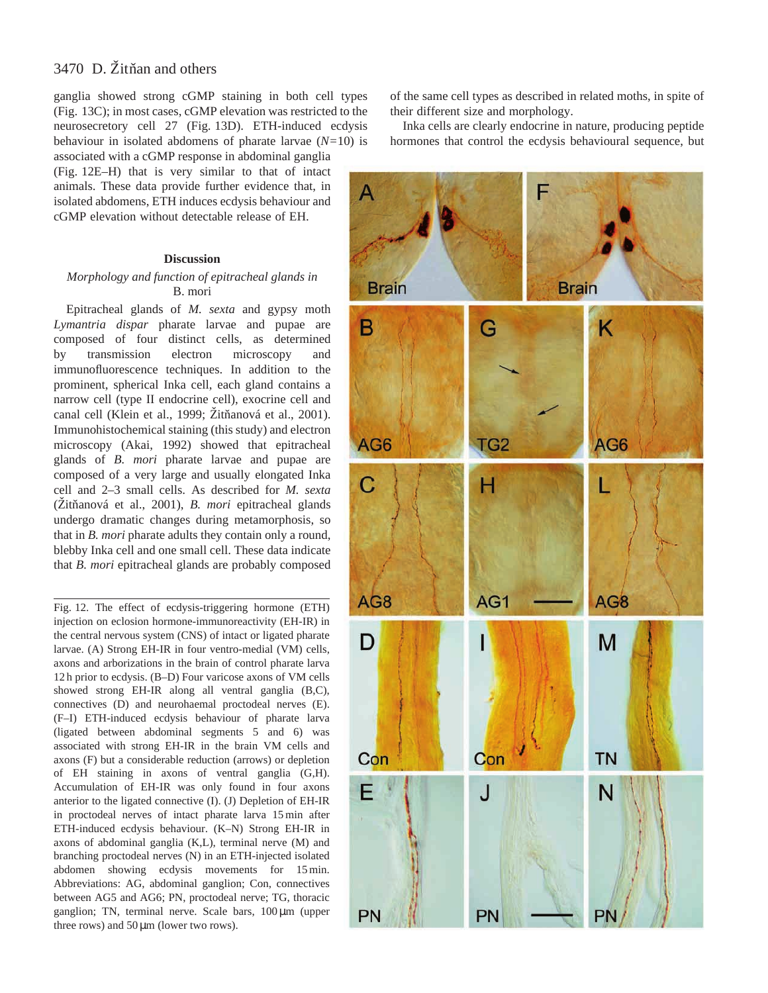ganglia showed strong cGMP staining in both cell types (Fig. 13C); in most cases, cGMP elevation was restricted to the neurosecretory cell 27 (Fig. 13D). ETH-induced ecdysis behaviour in isolated abdomens of pharate larvae (*N=*10) is associated with a cGMP response in abdominal ganglia

(Fig. 12E–H) that is very similar to that of intact animals. These data provide further evidence that, in isolated abdomens, ETH induces ecdysis behaviour and cGMP elevation without detectable release of EH.

#### **Discussion**

## *Morphology and function of epitracheal glands in* B. mori

Epitracheal glands of *M. sexta* and gypsy moth *Lymantria dispar* pharate larvae and pupae are composed of four distinct cells, as determined by transmission electron microscopy and immunofluorescence techniques. In addition to the prominent, spherical Inka cell, each gland contains a narrow cell (type II endocrine cell), exocrine cell and canal cell (Klein et al., 1999; Žitňanová et al., 2001). Immunohistochemical staining (this study) and electron microscopy (Akai, 1992) showed that epitracheal glands of *B. mori* pharate larvae and pupae are composed of a very large and usually elongated Inka cell and 2–3 small cells. As described for *M. sexta* (Žitňanová et al., 2001), *B. mori* epitracheal glands undergo dramatic changes during metamorphosis, so that in *B. mori* pharate adults they contain only a round, blebby Inka cell and one small cell. These data indicate that *B. mori* epitracheal glands are probably composed

Fig. 12. The effect of ecdysis-triggering hormone (ETH) injection on eclosion hormone-immunoreactivity (EH-IR) in the central nervous system (CNS) of intact or ligated pharate larvae. (A) Strong EH-IR in four ventro-medial (VM) cells, axons and arborizations in the brain of control pharate larva 12 h prior to ecdysis. (B–D) Four varicose axons of VM cells showed strong EH-IR along all ventral ganglia (B,C), connectives (D) and neurohaemal proctodeal nerves (E). (F–I) ETH-induced ecdysis behaviour of pharate larva (ligated between abdominal segments 5 and 6) was associated with strong EH-IR in the brain VM cells and axons (F) but a considerable reduction (arrows) or depletion of EH staining in axons of ventral ganglia (G,H). Accumulation of EH-IR was only found in four axons anterior to the ligated connective (I). (J) Depletion of EH-IR in proctodeal nerves of intact pharate larva 15 min after ETH-induced ecdysis behaviour. (K–N) Strong EH-IR in axons of abdominal ganglia (K,L), terminal nerve (M) and branching proctodeal nerves (N) in an ETH-injected isolated abdomen showing ecdysis movements for 15 min. Abbreviations: AG, abdominal ganglion; Con, connectives between AG5 and AG6; PN, proctodeal nerve; TG, thoracic ganglion; TN, terminal nerve. Scale bars, 100 µm (upper three rows) and  $50 \mu m$  (lower two rows).

of the same cell types as described in related moths, in spite of their different size and morphology.

Inka cells are clearly endocrine in nature, producing peptide hormones that control the ecdysis behavioural sequence, but

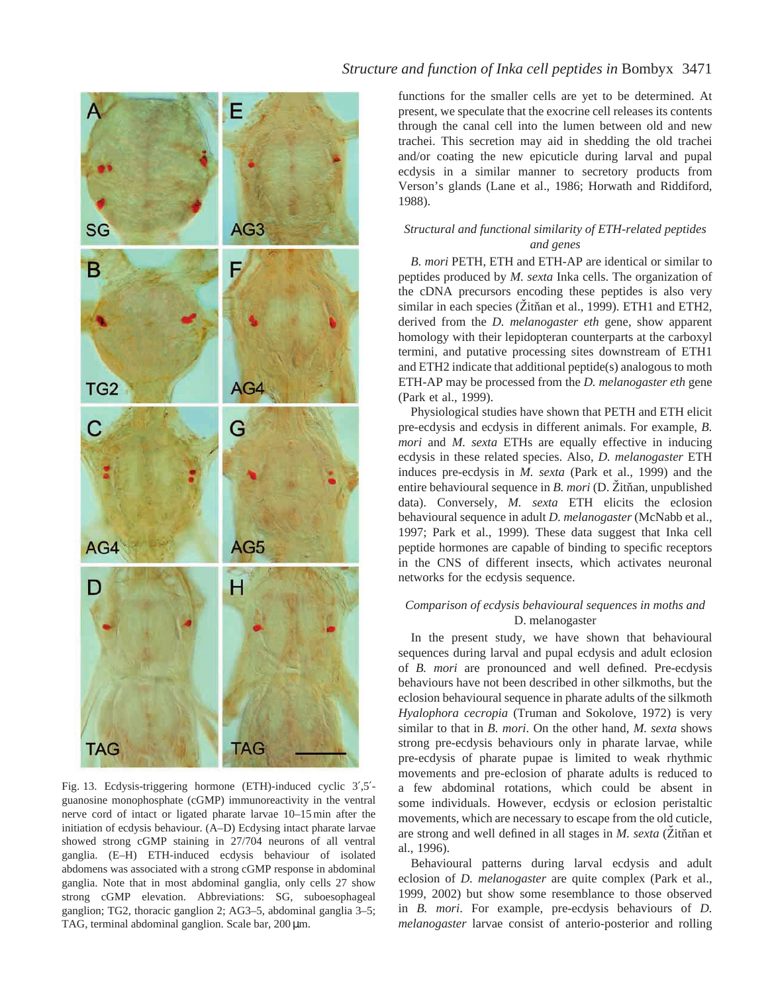

Fig. 13. Ecdysis-triggering hormone (ETH)-induced cyclic 3′,5′ guanosine monophosphate (cGMP) immunoreactivity in the ventral nerve cord of intact or ligated pharate larvae 10–15 min after the initiation of ecdysis behaviour. (A–D) Ecdysing intact pharate larvae showed strong cGMP staining in 27/704 neurons of all ventral ganglia. (E–H) ETH-induced ecdysis behaviour of isolated abdomens was associated with a strong cGMP response in abdominal ganglia. Note that in most abdominal ganglia, only cells 27 show strong cGMP elevation. Abbreviations: SG, suboesophageal ganglion; TG2, thoracic ganglion 2; AG3–5, abdominal ganglia 3–5; TAG, terminal abdominal ganglion. Scale bar, 200 µm.

# *Structure and function of Inka cell peptides in* Bombyx 3471

functions for the smaller cells are yet to be determined. At present, we speculate that the exocrine cell releases its contents through the canal cell into the lumen between old and new trachei. This secretion may aid in shedding the old trachei and/or coating the new epicuticle during larval and pupal ecdysis in a similar manner to secretory products from Verson's glands (Lane et al., 1986; Horwath and Riddiford, 1988).

## *Structural and functional similarity of ETH-related peptides and genes*

*B. mori* PETH, ETH and ETH-AP are identical or similar to peptides produced by *M. sexta* Inka cells. The organization of the cDNA precursors encoding these peptides is also very similar in each species (Zitňan et al., 1999). ETH1 and ETH2, derived from the *D. melanogaster eth* gene, show apparent homology with their lepidopteran counterparts at the carboxyl termini, and putative processing sites downstream of ETH1 and ETH2 indicate that additional peptide(s) analogous to moth ETH-AP may be processed from the *D. melanogaster eth* gene (Park et al., 1999).

Physiological studies have shown that PETH and ETH elicit pre-ecdysis and ecdysis in different animals. For example, *B. mori* and *M. sexta* ETHs are equally effective in inducing ecdysis in these related species. Also, *D. melanogaster* ETH induces pre-ecdysis in *M. sexta* (Park et al., 1999) and the entire behavioural sequence in *B. mori* (D. Žitňan, unpublished data). Conversely, *M. sexta* ETH elicits the eclosion behavioural sequence in adult *D. melanogaster* (McNabb et al., 1997; Park et al., 1999)*.* These data suggest that Inka cell peptide hormones are capable of binding to specific receptors in the CNS of different insects, which activates neuronal networks for the ecdysis sequence.

## *Comparison of ecdysis behavioural sequences in moths and* D. melanogaster

In the present study, we have shown that behavioural sequences during larval and pupal ecdysis and adult eclosion of *B. mori* are pronounced and well defined. Pre-ecdysis behaviours have not been described in other silkmoths, but the eclosion behavioural sequence in pharate adults of the silkmoth *Hyalophora cecropia* (Truman and Sokolove, 1972) is very similar to that in *B. mori*. On the other hand, *M. sexta* shows strong pre-ecdysis behaviours only in pharate larvae, while pre-ecdysis of pharate pupae is limited to weak rhythmic movements and pre-eclosion of pharate adults is reduced to a few abdominal rotations, which could be absent in some individuals. However, ecdysis or eclosion peristaltic movements, which are necessary to escape from the old cuticle, are strong and well defined in all stages in *M. sexta* (Zitňan et al., 1996).

Behavioural patterns during larval ecdysis and adult eclosion of *D. melanogaster* are quite complex (Park et al., 1999, 2002) but show some resemblance to those observed in *B. mori*. For example, pre-ecdysis behaviours of *D. melanogaster* larvae consist of anterio-posterior and rolling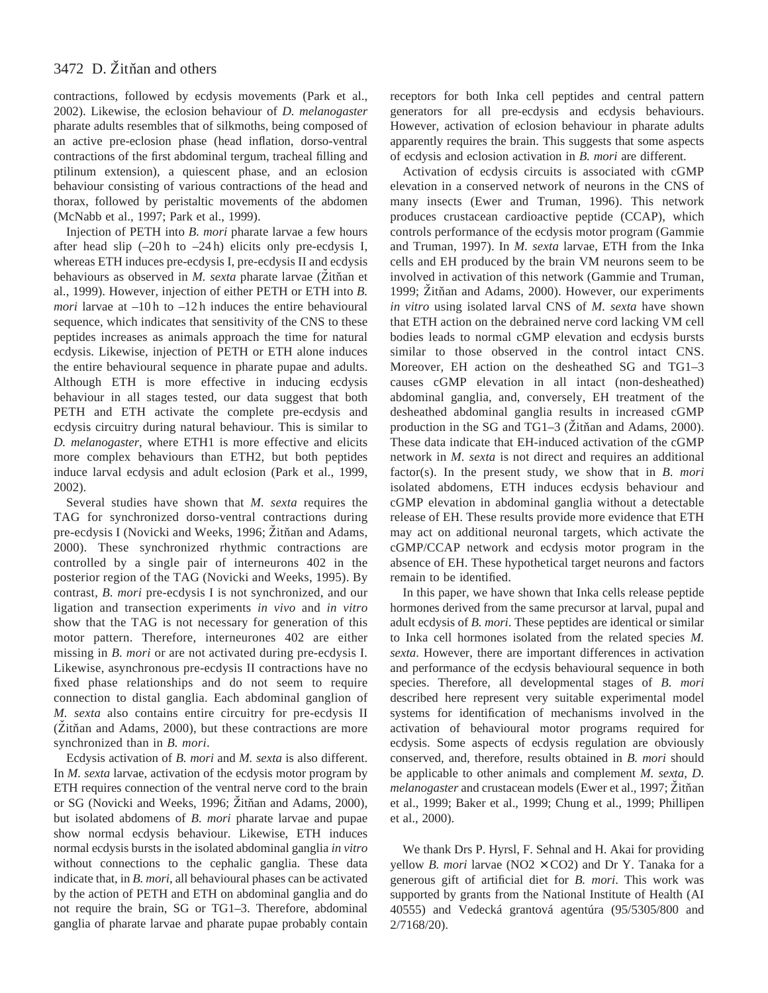contractions, followed by ecdysis movements (Park et al., 2002). Likewise, the eclosion behaviour of *D. melanogaster* pharate adults resembles that of silkmoths, being composed of an active pre-eclosion phase (head inflation, dorso-ventral contractions of the first abdominal tergum, tracheal filling and ptilinum extension), a quiescent phase, and an eclosion behaviour consisting of various contractions of the head and thorax, followed by peristaltic movements of the abdomen (McNabb et al., 1997; Park et al., 1999).

Injection of PETH into *B. mori* pharate larvae a few hours after head slip  $(-20h)$  to  $-24h$ ) elicits only pre-ecdysis I, whereas ETH induces pre-ecdysis I, pre-ecdysis II and ecdysis behaviours as observed in *M. sexta* pharate larvae (Žitňan et al., 1999). However, injection of either PETH or ETH into *B. mori* larvae at –10 h to –12 h induces the entire behavioural sequence, which indicates that sensitivity of the CNS to these peptides increases as animals approach the time for natural ecdysis. Likewise, injection of PETH or ETH alone induces the entire behavioural sequence in pharate pupae and adults. Although ETH is more effective in inducing ecdysis behaviour in all stages tested, our data suggest that both PETH and ETH activate the complete pre-ecdysis and ecdysis circuitry during natural behaviour. This is similar to *D. melanogaster*, where ETH1 is more effective and elicits more complex behaviours than ETH2, but both peptides induce larval ecdysis and adult eclosion (Park et al., 1999, 2002).

Several studies have shown that *M. sexta* requires the TAG for synchronized dorso-ventral contractions during pre-ecdysis I (Novicki and Weeks, 1996; Žitňan and Adams, 2000). These synchronized rhythmic contractions are controlled by a single pair of interneurons 402 in the posterior region of the TAG (Novicki and Weeks, 1995). By contrast, *B. mori* pre-ecdysis I is not synchronized, and our ligation and transection experiments *in vivo* and *in vitro* show that the TAG is not necessary for generation of this motor pattern. Therefore, interneurones 402 are either missing in *B. mori* or are not activated during pre-ecdysis I*.* Likewise, asynchronous pre-ecdysis II contractions have no fixed phase relationships and do not seem to require connection to distal ganglia. Each abdominal ganglion of *M. sexta* also contains entire circuitry for pre-ecdysis II  $(Zit$ nan and Adams, 2000), but these contractions are more synchronized than in *B. mori*.

Ecdysis activation of *B. mori* and *M. sexta* is also different. In *M. sexta* larvae, activation of the ecdysis motor program by ETH requires connection of the ventral nerve cord to the brain or SG (Novicki and Weeks, 1996; Žitňan and Adams, 2000), but isolated abdomens of *B. mori* pharate larvae and pupae show normal ecdysis behaviour. Likewise, ETH induces normal ecdysis bursts in the isolated abdominal ganglia *in vitro* without connections to the cephalic ganglia. These data indicate that, in *B. mori*, all behavioural phases can be activated by the action of PETH and ETH on abdominal ganglia and do not require the brain, SG or TG1–3. Therefore, abdominal ganglia of pharate larvae and pharate pupae probably contain receptors for both Inka cell peptides and central pattern generators for all pre-ecdysis and ecdysis behaviours. However, activation of eclosion behaviour in pharate adults apparently requires the brain. This suggests that some aspects of ecdysis and eclosion activation in *B. mori* are different.

Activation of ecdysis circuits is associated with cGMP elevation in a conserved network of neurons in the CNS of many insects (Ewer and Truman, 1996). This network produces crustacean cardioactive peptide (CCAP), which controls performance of the ecdysis motor program (Gammie and Truman, 1997). In *M. sexta* larvae, ETH from the Inka cells and EH produced by the brain VM neurons seem to be involved in activation of this network (Gammie and Truman, 1999; Žitňan and Adams, 2000). However, our experiments *in vitro* using isolated larval CNS of *M. sexta* have shown that ETH action on the debrained nerve cord lacking VM cell bodies leads to normal cGMP elevation and ecdysis bursts similar to those observed in the control intact CNS. Moreover, EH action on the desheathed SG and TG1–3 causes cGMP elevation in all intact (non-desheathed) abdominal ganglia, and, conversely, EH treatment of the desheathed abdominal ganglia results in increased cGMP production in the SG and TG1–3 ( $\check{Z}$ itnan and Adams, 2000). These data indicate that EH-induced activation of the cGMP network in *M. sexta* is not direct and requires an additional factor(s). In the present study, we show that in *B. mori* isolated abdomens, ETH induces ecdysis behaviour and cGMP elevation in abdominal ganglia without a detectable release of EH. These results provide more evidence that ETH may act on additional neuronal targets, which activate the cGMP/CCAP network and ecdysis motor program in the absence of EH. These hypothetical target neurons and factors remain to be identified.

In this paper, we have shown that Inka cells release peptide hormones derived from the same precursor at larval, pupal and adult ecdysis of *B. mori*. These peptides are identical or similar to Inka cell hormones isolated from the related species *M. sexta*. However, there are important differences in activation and performance of the ecdysis behavioural sequence in both species. Therefore, all developmental stages of *B. mori* described here represent very suitable experimental model systems for identification of mechanisms involved in the activation of behavioural motor programs required for ecdysis. Some aspects of ecdysis regulation are obviously conserved, and, therefore, results obtained in *B. mori* should be applicable to other animals and complement *M. sexta*, *D. melanogaster* and crustacean models (Ewer et al., 1997; Žitňan et al., 1999; Baker et al., 1999; Chung et al., 1999; Phillipen et al., 2000).

We thank Drs P. Hyrsl, F. Sehnal and H. Akai for providing yellow *B. mori* larvae ( $NO2 \times CO2$ ) and Dr Y. Tanaka for a generous gift of artificial diet for *B. mori*. This work was supported by grants from the National Institute of Health (AI 40555) and Vedecká grantová agentúra (95/5305/800 and 2/7168/20).